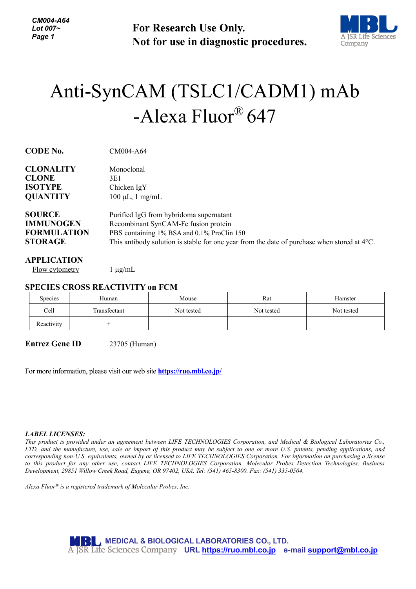**For Research Use Only. Not for use in diagnostic procedures.**



# Anti-SynCAM (TSLC1/CADM1) mAb -Alexa Fluor® 647

| <b>CODE No.</b>                                                  | CM004-A64                                                                                             |  |  |
|------------------------------------------------------------------|-------------------------------------------------------------------------------------------------------|--|--|
| <b>CLONALITY</b>                                                 | Monoclonal                                                                                            |  |  |
| <b>CLONE</b>                                                     | 3E1                                                                                                   |  |  |
| <b>ISOTYPE</b>                                                   | Chicken IgY                                                                                           |  |  |
| <b>QUANTITY</b>                                                  | $100 \mu L$ , 1 mg/mL                                                                                 |  |  |
| <b>SOURCE</b>                                                    | Purified IgG from hybridoma supernatant                                                               |  |  |
| <b>IMMUNOGEN</b>                                                 | Recombinant SynCAM-Fc fusion protein                                                                  |  |  |
| <b>FORMULATION</b><br>PBS containing 1% BSA and 0.1% ProClin 150 |                                                                                                       |  |  |
| <b>STORAGE</b>                                                   | This antibody solution is stable for one year from the date of purchase when stored at $4^{\circ}$ C. |  |  |
| $\sqrt{2}$                                                       |                                                                                                       |  |  |

#### **APPLICATION**

Flow cytometry  $1 \mu g/mL$ 

## **SPECIES CROSS REACTIVITY on FCM**

| Species    | Human        | Mouse      | Rat        | Hamster    |
|------------|--------------|------------|------------|------------|
| Cell       | Transfectant | Not tested | Not tested | Not tested |
| Reactivity |              |            |            |            |

**Entrez Gene ID** 23705 (Human)

For more information, please visit our web site **<https://ruo.mbl.co.jp/>**

#### *LABEL LICENSES:*

*This product is provided under an agreement between LIFE TECHNOLOGIES Corporation, and Medical & Biological Laboratories Co., LTD, and the manufacture, use, sale or import of this product may be subject to one or more U.S. patents, pending applications, and corresponding non-U.S. equivalents, owned by or licensed to LIFE TECHNOLOGIES Corporation. For information on purchasing a license to this product for any other use, contact LIFE TECHNOLOGIES Corporation, Molecular Probes Detection Technologies, Business Development, 29851 Willow Creek Road, Eugene, OR 97402, USA, Tel: (541) 465-8300. Fax: (541) 335-0504.*

*Alexa Fluor® is a registered trademark of Molecular Probes, Inc.*